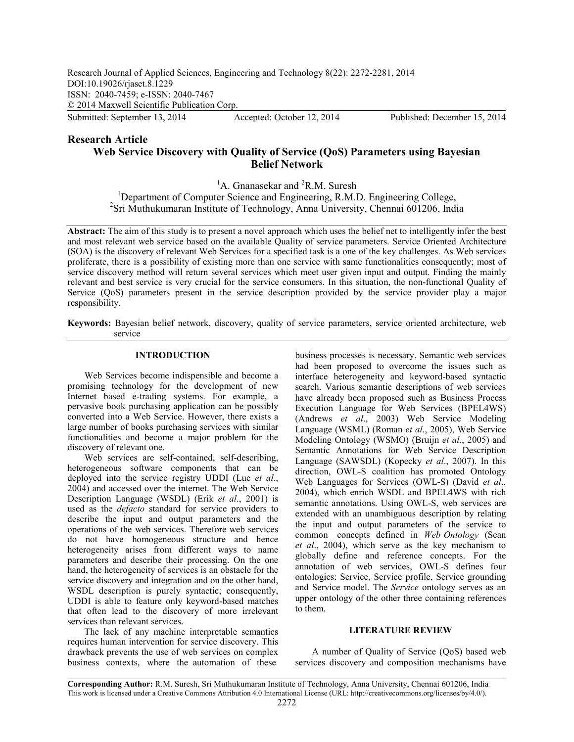Research Journal of Applied Sciences, Engineering and Technology 8(22): 2272-2281, 2014 DOI:10.19026/rjaset.8.1229 ISSN: 2040-7459; e-ISSN: 2040-7467 © 2014 Maxwell Scientific Publication Corp.

Submitted: September 13, 2014 Accepted: October 12, 2014 Published: December 15, 2014

# **Research Article Web Service Discovery with Quality of Service (QoS) Parameters using Bayesian Belief Network**

<sup>1</sup>A. Gnanasekar and <sup>2</sup>R.M. Suresh <sup>1</sup>Department of Computer Science and Engineering, R.M.D. Engineering College, <sup>2</sup>Sri Muthukumaran Institute of Technology, Anna University, Chennai 601206, India

**Abstract:** The aim of this study is to present a novel approach which uses the belief net to intelligently infer the best and most relevant web service based on the available Quality of service parameters. Service Oriented Architecture (SOA) is the discovery of relevant Web Services for a specified task is a one of the key challenges. As Web services proliferate, there is a possibility of existing more than one service with same functionalities consequently; most of service discovery method will return several services which meet user given input and output. Finding the mainly relevant and best service is very crucial for the service consumers. In this situation, the non-functional Quality of Service (QoS) parameters present in the service description provided by the service provider play a major responsibility.

**Keywords:** Bayesian belief network, discovery, quality of service parameters, service oriented architecture, web service

## **INTRODUCTION**

Web Services become indispensible and become a promising technology for the development of new Internet based e-trading systems. For example, a pervasive book purchasing application can be possibly converted into a Web Service. However, there exists a large number of books purchasing services with similar functionalities and become a major problem for the discovery of relevant one.

Web services are self-contained, self-describing, heterogeneous software components that can be deployed into the service registry UDDI (Luc *et al*., 2004) and accessed over the internet. The Web Service Description Language (WSDL) (Erik *et al*., 2001) is used as the *defacto* standard for service providers to describe the input and output parameters and the operations of the web services. Therefore web services do not have homogeneous structure and hence heterogeneity arises from different ways to name parameters and describe their processing. On the one hand, the heterogeneity of services is an obstacle for the service discovery and integration and on the other hand, WSDL description is purely syntactic; consequently, UDDI is able to feature only keyword-based matches that often lead to the discovery of more irrelevant services than relevant services.

The lack of any machine interpretable semantics requires human intervention for service discovery. This drawback prevents the use of web services on complex business contexts, where the automation of these

business processes is necessary. Semantic web services had been proposed to overcome the issues such as interface heterogeneity and keyword-based syntactic search. Various semantic descriptions of web services have already been proposed such as Business Process Execution Language for Web Services (BPEL4WS) (Andrews *et al*., 2003) Web Service Modeling Language (WSML) (Roman *et al*., 2005), Web Service Modeling Ontology (WSMO) (Bruijn *et al*., 2005) and Semantic Annotations for Web Service Description Language (SAWSDL) (Kopecky *et al*., 2007). In this direction, OWL-S coalition has promoted Ontology Web Languages for Services (OWL-S) (David *et al*., 2004), which enrich WSDL and BPEL4WS with rich semantic annotations. Using OWL-S, web services are extended with an unambiguous description by relating the input and output parameters of the service to common concepts defined in *Web Ontology* (Sean *et al*., 2004), which serve as the key mechanism to globally define and reference concepts. For the annotation of web services, OWL-S defines four ontologies: Service, Service profile, Service grounding and Service model. The *Service* ontology serves as an upper ontology of the other three containing references to them.

### **LITERATURE REVIEW**

A number of Quality of Service (QoS) based web services discovery and composition mechanisms have

**Corresponding Author:** R.M. Suresh, Sri Muthukumaran Institute of Technology, Anna University, Chennai 601206, India This work is licensed under a Creative Commons Attribution 4.0 International License (URL: http://creativecommons.org/licenses/by/4.0/).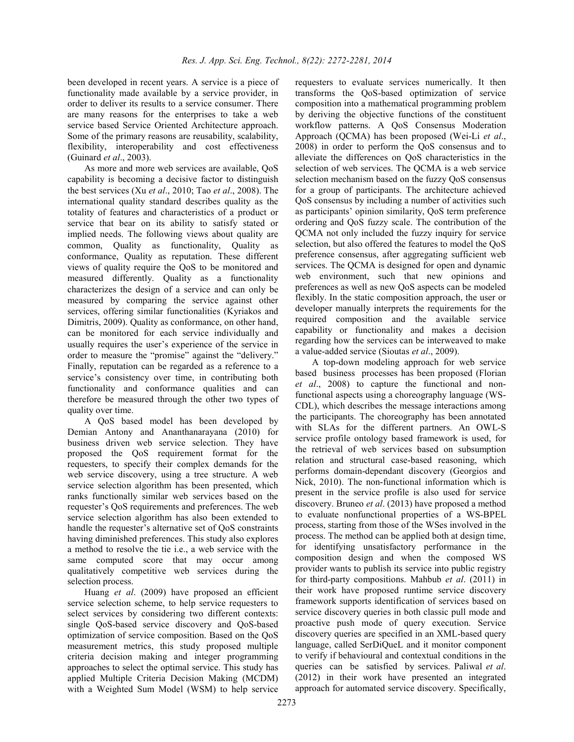been developed in recent years. A service is a piece of functionality made available by a service provider, in order to deliver its results to a service consumer. There are many reasons for the enterprises to take a web service based Service Oriented Architecture approach. Some of the primary reasons are reusability, scalability, flexibility, interoperability and cost effectiveness (Guinard *et al*., 2003).

As more and more web services are available, QoS capability is becoming a decisive factor to distinguish the best services (Xu *et al*., 2010; Tao *et al*., 2008). The international quality standard describes quality as the totality of features and characteristics of a product or service that bear on its ability to satisfy stated or implied needs. The following views about quality are common, Quality as functionality, Quality as conformance, Quality as reputation. These different views of quality require the QoS to be monitored and measured differently. Quality as a functionality characterizes the design of a service and can only be measured by comparing the service against other services, offering similar functionalities (Kyriakos and Dimitris, 2009). Quality as conformance, on other hand, can be monitored for each service individually and usually requires the user's experience of the service in order to measure the "promise" against the "delivery." Finally, reputation can be regarded as a reference to a service's consistency over time, in contributing both functionality and conformance qualities and can therefore be measured through the other two types of quality over time.

A QoS based model has been developed by Demian Antony and Ananthanarayana (2010) for business driven web service selection. They have proposed the QoS requirement format for the requesters, to specify their complex demands for the web service discovery, using a tree structure. A web service selection algorithm has been presented, which ranks functionally similar web services based on the requester's QoS requirements and preferences. The web service selection algorithm has also been extended to handle the requester's alternative set of QoS constraints having diminished preferences. This study also explores a method to resolve the tie i.e., a web service with the same computed score that may occur among qualitatively competitive web services during the selection process.

Huang *et al*. (2009) have proposed an efficient service selection scheme, to help service requesters to select services by considering two different contexts: single QoS-based service discovery and QoS-based optimization of service composition. Based on the QoS measurement metrics, this study proposed multiple criteria decision making and integer programming approaches to select the optimal service. This study has applied Multiple Criteria Decision Making (MCDM) with a Weighted Sum Model (WSM) to help service

requesters to evaluate services numerically. It then transforms the QoS-based optimization of service composition into a mathematical programming problem by deriving the objective functions of the constituent workflow patterns. A QoS Consensus Moderation Approach (QCMA) has been proposed (Wei-Li *et al*., 2008) in order to perform the QoS consensus and to alleviate the differences on QoS characteristics in the selection of web services. The QCMA is a web service selection mechanism based on the fuzzy QoS consensus for a group of participants. The architecture achieved QoS consensus by including a number of activities such as participants' opinion similarity, QoS term preference ordering and QoS fuzzy scale. The contribution of the QCMA not only included the fuzzy inquiry for service selection, but also offered the features to model the QoS preference consensus, after aggregating sufficient web services. The QCMA is designed for open and dynamic web environment, such that new opinions and preferences as well as new QoS aspects can be modeled flexibly. In the static composition approach, the user or developer manually interprets the requirements for the required composition and the available service capability or functionality and makes a decision regarding how the services can be interweaved to make a value-added service (Sioutas *et al*., 2009).

A top-down modeling approach for web service based business processes has been proposed (Florian *et al*., 2008) to capture the functional and nonfunctional aspects using a choreography language (WS-CDL), which describes the message interactions among the participants. The choreography has been annotated with SLAs for the different partners. An OWL-S service profile ontology based framework is used, for the retrieval of web services based on subsumption relation and structural case-based reasoning, which performs domain-dependant discovery (Georgios and Nick, 2010). The non-functional information which is present in the service profile is also used for service discovery. Bruneo *et al*. (2013) have proposed a method to evaluate nonfunctional properties of a WS-BPEL process, starting from those of the WSes involved in the process. The method can be applied both at design time, for identifying unsatisfactory performance in the composition design and when the composed WS provider wants to publish its service into public registry for third-party compositions. Mahbub *et al*. (2011) in their work have proposed runtime service discovery framework supports identification of services based on service discovery queries in both classic pull mode and proactive push mode of query execution. Service discovery queries are specified in an XML-based query language, called SerDiQueL and it monitor component to verify if behavioural and contextual conditions in the queries can be satisfied by services. Paliwal *et al*. (2012) in their work have presented an integrated approach for automated service discovery. Specifically,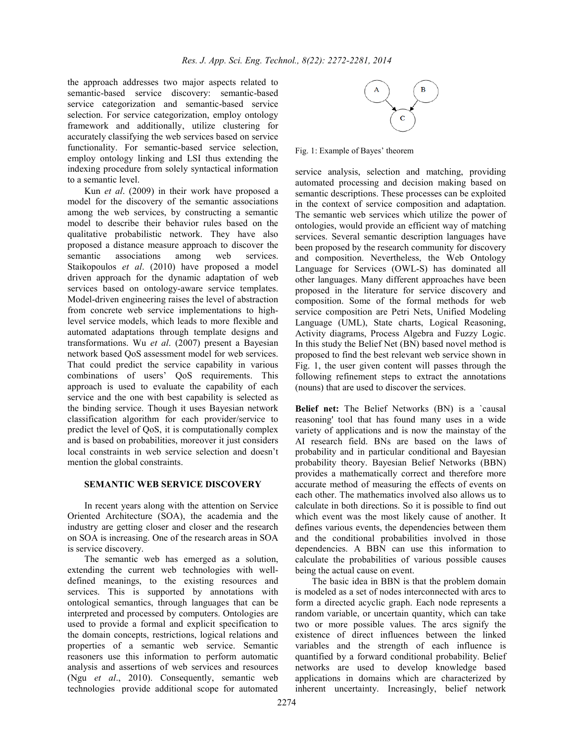the approach addresses two major aspects related to semantic-based service discovery: semantic-based service categorization and semantic-based service selection. For service categorization, employ ontology framework and additionally, utilize clustering for accurately classifying the web services based on service functionality. For semantic-based service selection, employ ontology linking and LSI thus extending the indexing procedure from solely syntactical information to a semantic level.

Kun *et al*. (2009) in their work have proposed a model for the discovery of the semantic associations among the web services, by constructing a semantic model to describe their behavior rules based on the qualitative probabilistic network. They have also proposed a distance measure approach to discover the semantic associations among web services. Staikopoulos *et al*. (2010) have proposed a model driven approach for the dynamic adaptation of web services based on ontology-aware service templates. Model-driven engineering raises the level of abstraction from concrete web service implementations to highlevel service models, which leads to more flexible and automated adaptations through template designs and transformations. Wu *et al*. (2007) present a Bayesian network based QoS assessment model for web services. That could predict the service capability in various combinations of users' QoS requirements. This approach is used to evaluate the capability of each service and the one with best capability is selected as the binding service. Though it uses Bayesian network classification algorithm for each provider/service to predict the level of QoS, it is computationally complex and is based on probabilities, moreover it just considers local constraints in web service selection and doesn't mention the global constraints.

### **SEMANTIC WEB SERVICE DISCOVERY**

In recent years along with the attention on Service Oriented Architecture (SOA), the academia and the industry are getting closer and closer and the research on SOA is increasing. One of the research areas in SOA is service discovery.

The semantic web has emerged as a solution, extending the current web technologies with welldefined meanings, to the existing resources and services. This is supported by annotations with ontological semantics, through languages that can be interpreted and processed by computers. Ontologies are used to provide a formal and explicit specification to the domain concepts, restrictions, logical relations and properties of a semantic web service. Semantic reasoners use this information to perform automatic analysis and assertions of web services and resources (Ngu *et al*., 2010). Consequently, semantic web technologies provide additional scope for automated



Fig. 1: Example of Bayes' theorem

service analysis, selection and matching, providing automated processing and decision making based on semantic descriptions. These processes can be exploited in the context of service composition and adaptation. The semantic web services which utilize the power of ontologies, would provide an efficient way of matching services. Several semantic description languages have been proposed by the research community for discovery and composition. Nevertheless, the Web Ontology Language for Services (OWL-S) has dominated all other languages. Many different approaches have been proposed in the literature for service discovery and composition. Some of the formal methods for web service composition are Petri Nets, Unified Modeling Language (UML), State charts, Logical Reasoning, Activity diagrams, Process Algebra and Fuzzy Logic. In this study the Belief Net (BN) based novel method is proposed to find the best relevant web service shown in Fig. 1, the user given content will passes through the following refinement steps to extract the annotations (nouns) that are used to discover the services.

**Belief net:** The Belief Networks (BN) is a `causal reasoning' tool that has found many uses in a wide variety of applications and is now the mainstay of the AI research field. BNs are based on the laws of probability and in particular conditional and Bayesian probability theory. Bayesian Belief Networks (BBN) provides a mathematically correct and therefore more accurate method of measuring the effects of events on each other. The mathematics involved also allows us to calculate in both directions. So it is possible to find out which event was the most likely cause of another. It defines various events, the dependencies between them and the conditional probabilities involved in those dependencies. A BBN can use this information to calculate the probabilities of various possible causes being the actual cause on event.

The basic idea in BBN is that the problem domain is modeled as a set of nodes interconnected with arcs to form a directed acyclic graph. Each node represents a random variable, or uncertain quantity, which can take two or more possible values. The arcs signify the existence of direct influences between the linked variables and the strength of each influence is quantified by a forward conditional probability. Belief networks are used to develop knowledge based applications in domains which are characterized by inherent uncertainty. Increasingly, belief network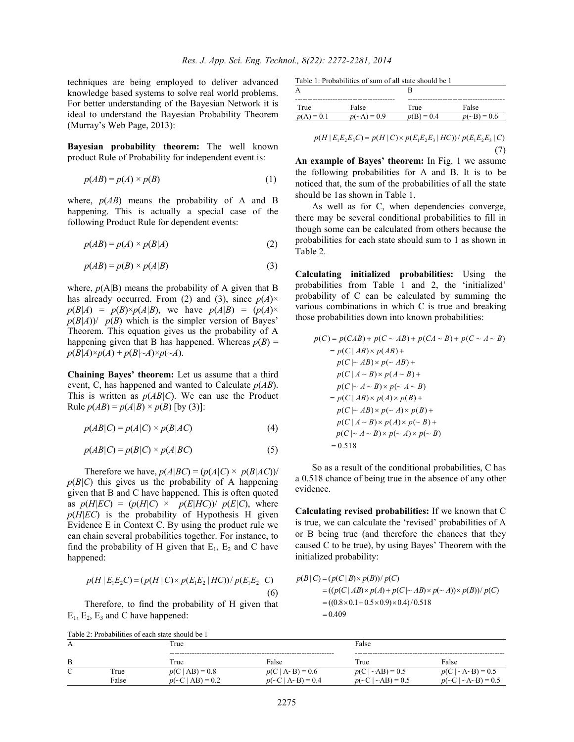techniques are being employed to deliver advanced knowledge based systems to solve real world problems. For better understanding of the Bayesian Network it is ideal to understand the Bayesian Probability Theorem (Murray's Web Page, 2013):

**Bayesian probability theorem:** The well known product Rule of Probability for independent event is:

$$
p(AB) = p(A) \times p(B) \tag{1}
$$

where,  $p(AB)$  means the probability of A and B happening. This is actually a special case of the following Product Rule for dependent events:

$$
p(AB) = p(A) \times p(B|A)
$$
 (2)

$$
p(AB) = p(B) \times p(A|B)
$$
 (3)

where,  $p(A|B)$  means the probability of A given that B has already occurred. From (2) and (3), since  $p(A)$ ×  $p(B|A) = p(B) \times p(A|B)$ , we have  $p(A|B) = (p(A) \times p(B|B))$  $p(B|A)$ )/  $p(B)$  which is the simpler version of Bayes' Theorem. This equation gives us the probability of A happening given that B has happened. Whereas  $p(B)$  =  $p(B|A) \times p(A) + p(B|\sim A) \times p(\sim A)$ .

**Chaining Bayes' theorem:** Let us assume that a third event, C, has happened and wanted to Calculate *p*(*AB*). This is written as *p*(*AB|C*). We can use the Product  $Rule p(AB) = p(A|B) \times p(B)$  [by (3)]:

$$
p(AB|C) = p(A|C) \times p(B|AC)
$$
 (4)

$$
p(AB|C) = p(B|C) \times p(A|BC)
$$
 (5)

Therefore we have,  $p(A|BC) = (p(A|C) \times p(B|AC))$  $p(B|C)$  this gives us the probability of A happening given that B and C have happened. This is often quoted as  $p(H|EC) = (p(H|C) \times p(E|HC))/ p(E|C)$ , where  $p(H|EC)$  is the probability of Hypothesis H given Evidence E in Context C. By using the product rule we can chain several probabilities together. For instance, to find the probability of H given that  $E_1$ ,  $E_2$  and C have happened:

$$
p(H | E_1 E_2 C) = (p(H | C) \times p(E_1 E_2 | HC)) / p(E_1 E_2 | C)
$$
\n(6)

Therefore, to find the probability of H given that  $E_1$ ,  $E_2$ ,  $E_3$  and C have happened:

Table 1: Probabilities of sum of all state should be 1

| A            |                   |           |                   |
|--------------|-------------------|-----------|-------------------|
| True         | False             | True      | False             |
| $p(A) = 0.1$ | $p(\sim A) = 0.9$ | $B = 0.4$ | $p(\sim B) = 0.6$ |

$$
p(H \mid E_1 E_2 E_3 C) = p(H \mid C) \times p(E_1 E_2 E_3 \mid HC)) / p(E_1 E_2 E_3 \mid C)
$$
\n(7)

**An example of Bayes' theorem:** In Fig. 1 we assume the following probabilities for A and B. It is to be noticed that, the sum of the probabilities of all the state should be 1as shown in Table 1.

As well as for C, when dependencies converge, there may be several conditional probabilities to fill in though some can be calculated from others because the probabilities for each state should sum to 1 as shown in Table 2.

**Calculating initialized probabilities:** Using the probabilities from Table 1 and 2, the 'initialized' probability of C can be calculated by summing the various combinations in which C is true and breaking those probabilities down into known probabilities:

$$
p(C) = p(CAB) + p(C \sim AB) + p(CA \sim B) + p(C \sim A \sim B)
$$
  
=  $p(C|AB) \times p(AB) +$   
 $p(C| \sim AB) \times p(\sim AB) +$   
 $p(C|A \sim B) \times p(A \sim B) +$   
 $p(C| \sim A \sim B) \times p(\sim A \sim B)$   
=  $p(C|AB) \times p(A) \times p(B) +$   
 $p(C| \sim AB) \times p(\sim A) \times p(B) +$   
 $p(C|A \sim B) \times p(A) \times p(\sim B) +$   
 $p(C| \sim A \sim B) \times p(\sim A) \times p(\sim B)$   
= 0.518

So as a result of the conditional probabilities, C has a 0.518 chance of being true in the absence of any other evidence.

**Calculating revised probabilities:** If we known that C is true, we can calculate the 'revised' probabilities of A or B being true (and therefore the chances that they caused C to be true), by using Bayes' Theorem with the initialized probability:

$$
p(B|C) = (p(C|B) \times p(B)) / p(C)
$$
  
= ((p(C|AB) \times p(A) + p(C|\sim AB) \times p(\sim A)) \times p(B)) / p(C)  
= ((0.8 \times 0.1 + 0.5 \times 0.9) \times 0.4) / 0.518  
= 0.409

| Table 2: Probabilities of each state should be 1 |       |                           |                                 |                                |                                      |  |  |  |  |  |  |
|--------------------------------------------------|-------|---------------------------|---------------------------------|--------------------------------|--------------------------------------|--|--|--|--|--|--|
| А                                                |       | True                      |                                 | False                          |                                      |  |  |  |  |  |  |
| B                                                |       | True                      | False                           | True                           | False                                |  |  |  |  |  |  |
| ⌒                                                | Γrue  | $p(C   AB) = 0.8$         | $p(C   A \sim B) = 0.6$         | $p(C \mid \sim AB) = 0.5$      | $p(C \mid \sim A \sim B) = 0.5$      |  |  |  |  |  |  |
|                                                  | False | $p(\sim C \mid AB) = 0.2$ | $p(\sim C \mid A \sim B) = 0.4$ | $p(\sim C \mid \sim AB) = 0.5$ | $p(\sim C \mid \sim A \sim B) = 0.5$ |  |  |  |  |  |  |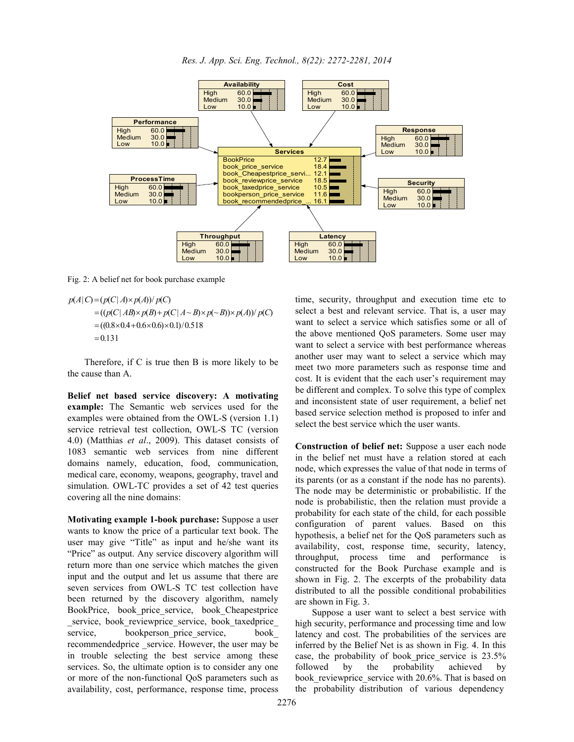

Fig. 2: A belief net for book purchase example

 $= 0.131$  $= ((0.8 \times 0.4 + 0.6 \times 0.6) \times 0.1)/0.518$  $p(C|AB) \times p(B) + p(C|A \sim B) \times p(\sim B) \times p(A)/p(C)$  $p(A|C) = (p(C|A) \times p(A)) / p(C)$ 

Therefore, if C is true then B is more likely to be the cause than A.

**Belief net based service discovery: A motivating example:** The Semantic web services used for the examples were obtained from the OWL-S (version 1.1) service retrieval test collection, OWL-S TC (version 4.0) (Matthias *et al*., 2009). This dataset consists of 1083 semantic web services from nine different domains namely, education, food, communication, medical care, economy, weapons, geography, travel and simulation. OWL-TC provides a set of 42 test queries covering all the nine domains:

**Motivating example 1-book purchase:** Suppose a user wants to know the price of a particular text book. The user may give "Title" as input and he/she want its "Price" as output. Any service discovery algorithm will return more than one service which matches the given input and the output and let us assume that there are seven services from OWL-S TC test collection have been returned by the discovery algorithm, namely BookPrice, book price service, book Cheapestprice service, book reviewprice service, book taxedprice service, bookperson price service, book recommendedprice service. However, the user may be in trouble selecting the best service among these services. So, the ultimate option is to consider any one or more of the non-functional QoS parameters such as availability, cost, performance, response time, process

time, security, throughput and execution time etc to select a best and relevant service. That is, a user may want to select a service which satisfies some or all of the above mentioned QoS parameters. Some user may want to select a service with best performance whereas another user may want to select a service which may meet two more parameters such as response time and cost. It is evident that the each user's requirement may be different and complex. To solve this type of complex and inconsistent state of user requirement, a belief net based service selection method is proposed to infer and select the best service which the user wants.

**Construction of belief net:** Suppose a user each node in the belief net must have a relation stored at each node, which expresses the value of that node in terms of its parents (or as a constant if the node has no parents). The node may be deterministic or probabilistic. If the node is probabilistic, then the relation must provide a probability for each state of the child, for each possible configuration of parent values. Based on this hypothesis, a belief net for the QoS parameters such as availability, cost, response time, security, latency, throughput, process time and performance is constructed for the Book Purchase example and is shown in Fig. 2. The excerpts of the probability data distributed to all the possible conditional probabilities are shown in Fig. 3.

Suppose a user want to select a best service with high security, performance and processing time and low latency and cost. The probabilities of the services are inferred by the Belief Net is as shown in Fig. 4. In this case, the probability of book\_price\_service is 23.5% followed by the probability achieved by book reviewprice service with 20.6%. That is based on the probability distribution of various dependency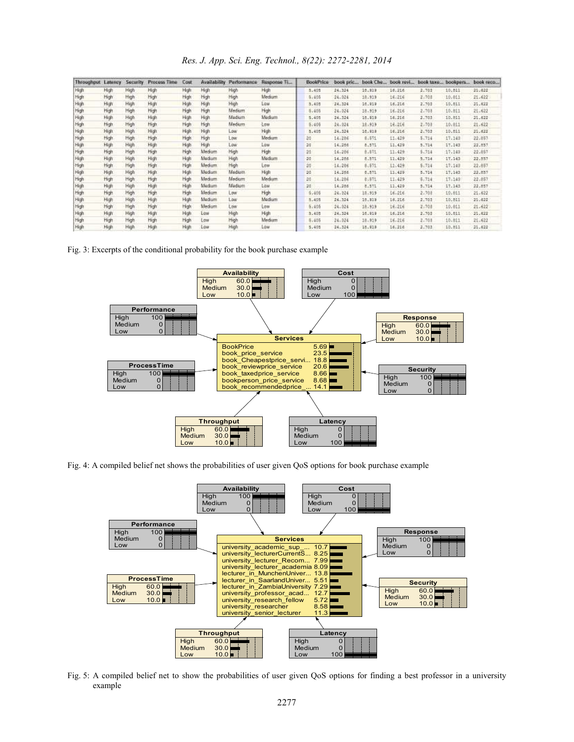*Res. J. App. Sci. Eng. Technol., 8(22): 2272-2281, 2014* 

| <b>Throughout</b> | Latency     | Security | Process Time | Cost  | Availability | Performance | Response Ti | <b>BookPrice</b> | book pric |        | book Che book revi | book taxe | bookpars. | book reco |
|-------------------|-------------|----------|--------------|-------|--------------|-------------|-------------|------------------|-----------|--------|--------------------|-----------|-----------|-----------|
| High              | High        | High     | High         | High  | High         | High        | High        | 5.405            | 24.324    | 18,919 | 16.216             | 2,703     | 10.811    | 21.622    |
| High              | High        | High     | High         | High  | Hight        | High        | Medium      | 5.405            | 24.324    | 18.919 | 16/216             | 2.708     | 10,011    | 21.422    |
| High              | Hah         | High     | 书面           | High  | High         | High        | Law         | 3.405            | 24.324    | 14.919 | 16,216             | 2,703     | 10.811    | 21.422    |
| High              | Hight       | High     | Hight        | High  | High         | Medium      | High        | 5.405            | 24.324    | 18.919 | 16,216             | 2.703     | 10.811    | 21.622    |
| High              | High        | High     | High.        | High  | High         | Medium      | Medium      | 5.405            | 24.324    | 15.919 | 18,216             | 2.703     | 10.811    | 21.422    |
| High              | <b>High</b> | High     | High         | High  | <b>High</b>  | Medium      | Low         | 5.405            | 24.324    | 18.919 | 16.216             | 2.703     | 10,811    | 21,622    |
| High              | High        | High     | High         | Hight | High         | Low         | High        | 5.405            | 14.324    | 18,919 | 16.216             | 2,703     | 10.511    | 21.421    |
| High              | High        | High     | Hight.       | High  | High         | Low         | Medium      | 30               | 14.286    | 8,571  | 11,429             | 5.714     | 17,143    | 22,857    |
| High              | High        | High     | High         | High  | High         | Low         | Low         | 20               | 14.256    | 8,571  | 11,429             | 5.714     | 17.143    | 22,857    |
| High              | High        | High     | High         | high  | Medium       | High        | Hight       | 20               | 14.286    | 8,571  | 11,429             | 5.714     | 17.143    | 22.857    |
| High              | High        | High     | High         | High  | Medium       | High        | Medium      | 20               | 14.256    | 8.371  | 11,429             | 5.714     | 17.143    | 22.857    |
| High              | High        | High     | High         | High  | Medium       | High        | Low         | 剑                | 14,286    | 8.571  | 11,429             | \$.714    | 17.148    | 22,857    |
| High              | High        | High     | High.        | High  | Modium       | Medium      | High        | 20               | 14.256    | 0.571  | 11,429             | 5.714     | 17, 142   | 22.857    |
| High              | High        | High     | High         | High  | Medium       | Medium      | Medium.     | 浏                | 14.286    | 81871  | 11,429             | 5.714     | 17.148    | 22,857    |
| High              | High        | High     | High         | High  | Madum        | Medium      | Low         | zd               | 14,256    | 8.571  | 11.429             | 5.714     | 17.143    | 22,857    |
| High              | High        | High     | High         | High  | Medium       | Low         | High        | 5.405            | 24.324    | 18.919 | 16.216             | 2.701     | 10,811    | 21.622    |
| High              | High        | High     | High         | High  | Medium       | Low         | Medium      | 5.405            | 24.324    | 18.919 | 16.216             | 2,703     | 10.811    | 21.622    |
| High              | High        | High     | High         | High  | Medium       | Low         | Low         | 5.405            | 24.324    | 18.919 | 16/216             | 2.708     | 10,811    | 21.422    |
| High              | Hah         | High     | 书面           | High  | Low          | High        | High        | 3,405            | 24.324    | 14.919 | 16,216             | 2,703     | 10.811    | 21.422    |
| High              | Hight       | High     | High         | High  | Low          | High        | Medum       | 5.405            | 24.324    | 18.919 | 16,216             | 2.703     | 10.811    | 21.622    |
| High              | High        | High     | <b>High</b>  | High  | Law          | High        | Law         | 5.405            | 24.324    | 15.919 | 16.216             | 2,703     | 10.811    | 21.422    |

Fig. 3: Excerpts of the conditional probability for the book purchase example



Fig. 4: A compiled belief net shows the probabilities of user given QoS options for book purchase example



Fig. 5: A compiled belief net to show the probabilities of user given QoS options for finding a best professor in a university example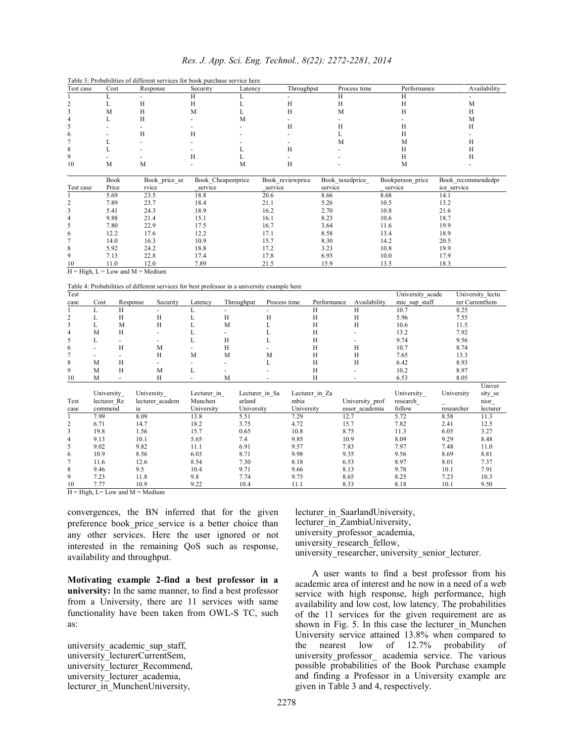| Res. J. App. Sci. Eng. Technol., 8(22): 2272-2281, 2014 |  |
|---------------------------------------------------------|--|
|---------------------------------------------------------|--|

| L<br>ä,<br>$\overline{c}$<br>L<br>H<br>Н<br>L<br>H<br>H<br>H<br>M<br>3<br>M<br>H<br>M<br>L<br>H<br>M<br>Н<br>H<br>$\overline{4}$<br>L<br>Н<br>M<br>M<br>÷.<br>$\overline{\phantom{a}}$<br>÷.<br>5<br>H<br>H<br>H<br>H<br>÷.<br>6<br>H<br>H<br>L<br>Н<br>÷.<br>$\overline{7}$<br>L<br>M<br>H<br>M<br>8<br>L<br>H<br>L<br>Н<br>H<br>$\overline{a}$<br>9<br>H<br>L<br>H<br>H<br>$\overline{a}$<br>H<br>M<br>10<br>M<br>М<br>M<br>÷.<br>÷.<br><b>Book</b><br>Book Cheapestprice<br>Book reviewprice<br>Book taxedprice<br>Bookperson price<br>Book recommendedpr<br>Book price se<br>Price<br>service<br>service<br>service<br>service<br>ice service<br>Test case<br>rvice<br>$\mathbf{1}$<br>5.69<br>23.5<br>18.8<br>20.6<br>8.68<br>14.1<br>8.66<br>7.89<br>23.7<br>18.4<br>21.1<br>5.26<br>$\overline{\mathbf{c}}$<br>10.5<br>13.2<br>3<br>16.2<br>2.70<br>10.8<br>5.41<br>24.3<br>18.9<br>21.6<br>$\overline{4}$<br>9.88<br>21.4<br>8.23<br>18.7<br>15.1<br>16.1<br>10.6<br>5<br>7.80<br>22.9<br>19.9<br>17.5<br>16.7<br>3.64<br>11.6<br>6<br>12.2<br>12.2<br>17.1<br>8.58<br>13.4<br>18.9<br>17.6<br>$\overline{7}$<br>14.0<br>10.9<br>16.3<br>15.7<br>8.30<br>14.2<br>20.5<br>8<br>5.92<br>24.2<br>18.8<br>17.2<br>3.23<br>10.8<br>19.9<br>9<br>7.13<br>22.8<br>17.4<br>17.8<br>6.93<br>10.0<br>17.9<br>7.89<br>15.9<br>11.0<br>12.0<br>21.5<br>13.5<br>18.3<br>10<br>$H = High$ , $L = Low$ and $M = Medium$<br>Table 4: Probabilities of different services for best professor in a university example here<br>University_acade<br>Test<br>University lectu<br>Performance<br>Availability<br>Cost<br>Response<br>Security<br>Latency<br>Throughput<br>Process time<br>mic sup staff<br>rer CurrentSem<br>case<br>$\mathbf{1}$<br>H<br>H<br>H<br>10.7<br>8.25<br>L<br>L<br>ä,<br>÷.<br>5.96<br>7.55<br>2<br>L<br>H<br>H<br>L<br>H<br>H<br>Н<br>Н<br>3<br>11.5<br>L<br>M<br>H<br>L<br>L<br>Н<br>H<br>10.6<br>M<br>$\overline{4}$<br>H<br>7.92<br>M<br>H<br>L<br>L<br>13.2<br>$\mathbf{r}$<br>÷.<br>$\blacksquare$<br>5<br>H<br>L<br>L<br>H<br>L<br>9.74<br>9.56<br>÷.<br>L.<br>u,<br>6<br>Н<br>8.74<br>Η<br>M<br>H<br>Н<br>10.7<br>÷,<br>$\overline{a}$<br>$\omega$<br>$\overline{7}$<br>$\mathbf H$<br>H<br>M<br>M<br>H<br>7.65<br>13.3<br>$\omega$<br>M<br>8<br>H<br>H<br>6.42<br>8.93<br>M<br>H<br>L<br>$\omega$<br>÷,<br>$\overline{a}$<br>9<br>H<br>8.97<br>M<br>H<br>M<br>L<br>10.2<br>÷.<br>÷.<br>÷.<br>$\mathbf H$<br>6.53<br>10<br>M<br>H<br>M<br>8.05<br>$\blacksquare$<br>÷.<br>÷.<br>$\overline{\phantom{a}}$<br>Univer<br>Lecturer in Za<br>University<br>University<br>sity se<br>University<br>University<br>Lecturer in<br>Lecturer in Sa<br>Test<br>lecturer Re<br>lecturer academ<br>Munchen<br>arland<br>mbia<br>University prof<br>research<br>nior<br>University<br>University<br>University<br>follow<br>commend<br>essor academia<br>researcher<br>ia<br>case<br>$\overline{1}$<br>5.72<br>7.99<br>8.09<br>13.8<br>5.51<br>7.29<br>12.7<br>8.58<br>11.3<br>14.7<br>$\overline{\mathbf{c}}$<br>6.71<br>18.2<br>3.75<br>4.72<br>15.7<br>7.82<br>2.41<br>12.5 | Test case |      | Cost | Response | Security | Latency | Throughput |   | Process time | Performance |      | Availability |
|---------------------------------------------------------------------------------------------------------------------------------------------------------------------------------------------------------------------------------------------------------------------------------------------------------------------------------------------------------------------------------------------------------------------------------------------------------------------------------------------------------------------------------------------------------------------------------------------------------------------------------------------------------------------------------------------------------------------------------------------------------------------------------------------------------------------------------------------------------------------------------------------------------------------------------------------------------------------------------------------------------------------------------------------------------------------------------------------------------------------------------------------------------------------------------------------------------------------------------------------------------------------------------------------------------------------------------------------------------------------------------------------------------------------------------------------------------------------------------------------------------------------------------------------------------------------------------------------------------------------------------------------------------------------------------------------------------------------------------------------------------------------------------------------------------------------------------------------------------------------------------------------------------------------------------------------------------------------------------------------------------------------------------------------------------------------------------------------------------------------------------------------------------------------------------------------------------------------------------------------------------------------------------------------------------------------------------------------------------------------------------------------------------------------------------------------------------------------------------------------------------------------------------------------------------------------------------------------------------------------------------------------------------------------------------------------------------------------------------------------------------------------------------------------------------------------------------------------------------------------------------------------------------------------------------------------------------------------------------------------------------------------------------------------------------------------------------------|-----------|------|------|----------|----------|---------|------------|---|--------------|-------------|------|--------------|
|                                                                                                                                                                                                                                                                                                                                                                                                                                                                                                                                                                                                                                                                                                                                                                                                                                                                                                                                                                                                                                                                                                                                                                                                                                                                                                                                                                                                                                                                                                                                                                                                                                                                                                                                                                                                                                                                                                                                                                                                                                                                                                                                                                                                                                                                                                                                                                                                                                                                                                                                                                                                                                                                                                                                                                                                                                                                                                                                                                                                                                                                                       | ī         |      |      |          | Н        | L       |            | Н |              | H           |      |              |
|                                                                                                                                                                                                                                                                                                                                                                                                                                                                                                                                                                                                                                                                                                                                                                                                                                                                                                                                                                                                                                                                                                                                                                                                                                                                                                                                                                                                                                                                                                                                                                                                                                                                                                                                                                                                                                                                                                                                                                                                                                                                                                                                                                                                                                                                                                                                                                                                                                                                                                                                                                                                                                                                                                                                                                                                                                                                                                                                                                                                                                                                                       |           |      |      |          |          |         |            |   |              |             |      |              |
|                                                                                                                                                                                                                                                                                                                                                                                                                                                                                                                                                                                                                                                                                                                                                                                                                                                                                                                                                                                                                                                                                                                                                                                                                                                                                                                                                                                                                                                                                                                                                                                                                                                                                                                                                                                                                                                                                                                                                                                                                                                                                                                                                                                                                                                                                                                                                                                                                                                                                                                                                                                                                                                                                                                                                                                                                                                                                                                                                                                                                                                                                       |           |      |      |          |          |         |            |   |              |             |      |              |
|                                                                                                                                                                                                                                                                                                                                                                                                                                                                                                                                                                                                                                                                                                                                                                                                                                                                                                                                                                                                                                                                                                                                                                                                                                                                                                                                                                                                                                                                                                                                                                                                                                                                                                                                                                                                                                                                                                                                                                                                                                                                                                                                                                                                                                                                                                                                                                                                                                                                                                                                                                                                                                                                                                                                                                                                                                                                                                                                                                                                                                                                                       |           |      |      |          |          |         |            |   |              |             |      |              |
|                                                                                                                                                                                                                                                                                                                                                                                                                                                                                                                                                                                                                                                                                                                                                                                                                                                                                                                                                                                                                                                                                                                                                                                                                                                                                                                                                                                                                                                                                                                                                                                                                                                                                                                                                                                                                                                                                                                                                                                                                                                                                                                                                                                                                                                                                                                                                                                                                                                                                                                                                                                                                                                                                                                                                                                                                                                                                                                                                                                                                                                                                       |           |      |      |          |          |         |            |   |              |             |      |              |
|                                                                                                                                                                                                                                                                                                                                                                                                                                                                                                                                                                                                                                                                                                                                                                                                                                                                                                                                                                                                                                                                                                                                                                                                                                                                                                                                                                                                                                                                                                                                                                                                                                                                                                                                                                                                                                                                                                                                                                                                                                                                                                                                                                                                                                                                                                                                                                                                                                                                                                                                                                                                                                                                                                                                                                                                                                                                                                                                                                                                                                                                                       |           |      |      |          |          |         |            |   |              |             |      |              |
|                                                                                                                                                                                                                                                                                                                                                                                                                                                                                                                                                                                                                                                                                                                                                                                                                                                                                                                                                                                                                                                                                                                                                                                                                                                                                                                                                                                                                                                                                                                                                                                                                                                                                                                                                                                                                                                                                                                                                                                                                                                                                                                                                                                                                                                                                                                                                                                                                                                                                                                                                                                                                                                                                                                                                                                                                                                                                                                                                                                                                                                                                       |           |      |      |          |          |         |            |   |              |             |      |              |
|                                                                                                                                                                                                                                                                                                                                                                                                                                                                                                                                                                                                                                                                                                                                                                                                                                                                                                                                                                                                                                                                                                                                                                                                                                                                                                                                                                                                                                                                                                                                                                                                                                                                                                                                                                                                                                                                                                                                                                                                                                                                                                                                                                                                                                                                                                                                                                                                                                                                                                                                                                                                                                                                                                                                                                                                                                                                                                                                                                                                                                                                                       |           |      |      |          |          |         |            |   |              |             |      |              |
|                                                                                                                                                                                                                                                                                                                                                                                                                                                                                                                                                                                                                                                                                                                                                                                                                                                                                                                                                                                                                                                                                                                                                                                                                                                                                                                                                                                                                                                                                                                                                                                                                                                                                                                                                                                                                                                                                                                                                                                                                                                                                                                                                                                                                                                                                                                                                                                                                                                                                                                                                                                                                                                                                                                                                                                                                                                                                                                                                                                                                                                                                       |           |      |      |          |          |         |            |   |              |             |      |              |
|                                                                                                                                                                                                                                                                                                                                                                                                                                                                                                                                                                                                                                                                                                                                                                                                                                                                                                                                                                                                                                                                                                                                                                                                                                                                                                                                                                                                                                                                                                                                                                                                                                                                                                                                                                                                                                                                                                                                                                                                                                                                                                                                                                                                                                                                                                                                                                                                                                                                                                                                                                                                                                                                                                                                                                                                                                                                                                                                                                                                                                                                                       |           |      |      |          |          |         |            |   |              |             |      |              |
|                                                                                                                                                                                                                                                                                                                                                                                                                                                                                                                                                                                                                                                                                                                                                                                                                                                                                                                                                                                                                                                                                                                                                                                                                                                                                                                                                                                                                                                                                                                                                                                                                                                                                                                                                                                                                                                                                                                                                                                                                                                                                                                                                                                                                                                                                                                                                                                                                                                                                                                                                                                                                                                                                                                                                                                                                                                                                                                                                                                                                                                                                       |           |      |      |          |          |         |            |   |              |             |      |              |
|                                                                                                                                                                                                                                                                                                                                                                                                                                                                                                                                                                                                                                                                                                                                                                                                                                                                                                                                                                                                                                                                                                                                                                                                                                                                                                                                                                                                                                                                                                                                                                                                                                                                                                                                                                                                                                                                                                                                                                                                                                                                                                                                                                                                                                                                                                                                                                                                                                                                                                                                                                                                                                                                                                                                                                                                                                                                                                                                                                                                                                                                                       |           |      |      |          |          |         |            |   |              |             |      |              |
|                                                                                                                                                                                                                                                                                                                                                                                                                                                                                                                                                                                                                                                                                                                                                                                                                                                                                                                                                                                                                                                                                                                                                                                                                                                                                                                                                                                                                                                                                                                                                                                                                                                                                                                                                                                                                                                                                                                                                                                                                                                                                                                                                                                                                                                                                                                                                                                                                                                                                                                                                                                                                                                                                                                                                                                                                                                                                                                                                                                                                                                                                       |           |      |      |          |          |         |            |   |              |             |      |              |
|                                                                                                                                                                                                                                                                                                                                                                                                                                                                                                                                                                                                                                                                                                                                                                                                                                                                                                                                                                                                                                                                                                                                                                                                                                                                                                                                                                                                                                                                                                                                                                                                                                                                                                                                                                                                                                                                                                                                                                                                                                                                                                                                                                                                                                                                                                                                                                                                                                                                                                                                                                                                                                                                                                                                                                                                                                                                                                                                                                                                                                                                                       |           |      |      |          |          |         |            |   |              |             |      |              |
|                                                                                                                                                                                                                                                                                                                                                                                                                                                                                                                                                                                                                                                                                                                                                                                                                                                                                                                                                                                                                                                                                                                                                                                                                                                                                                                                                                                                                                                                                                                                                                                                                                                                                                                                                                                                                                                                                                                                                                                                                                                                                                                                                                                                                                                                                                                                                                                                                                                                                                                                                                                                                                                                                                                                                                                                                                                                                                                                                                                                                                                                                       |           |      |      |          |          |         |            |   |              |             |      |              |
|                                                                                                                                                                                                                                                                                                                                                                                                                                                                                                                                                                                                                                                                                                                                                                                                                                                                                                                                                                                                                                                                                                                                                                                                                                                                                                                                                                                                                                                                                                                                                                                                                                                                                                                                                                                                                                                                                                                                                                                                                                                                                                                                                                                                                                                                                                                                                                                                                                                                                                                                                                                                                                                                                                                                                                                                                                                                                                                                                                                                                                                                                       |           |      |      |          |          |         |            |   |              |             |      |              |
|                                                                                                                                                                                                                                                                                                                                                                                                                                                                                                                                                                                                                                                                                                                                                                                                                                                                                                                                                                                                                                                                                                                                                                                                                                                                                                                                                                                                                                                                                                                                                                                                                                                                                                                                                                                                                                                                                                                                                                                                                                                                                                                                                                                                                                                                                                                                                                                                                                                                                                                                                                                                                                                                                                                                                                                                                                                                                                                                                                                                                                                                                       |           |      |      |          |          |         |            |   |              |             |      |              |
|                                                                                                                                                                                                                                                                                                                                                                                                                                                                                                                                                                                                                                                                                                                                                                                                                                                                                                                                                                                                                                                                                                                                                                                                                                                                                                                                                                                                                                                                                                                                                                                                                                                                                                                                                                                                                                                                                                                                                                                                                                                                                                                                                                                                                                                                                                                                                                                                                                                                                                                                                                                                                                                                                                                                                                                                                                                                                                                                                                                                                                                                                       |           |      |      |          |          |         |            |   |              |             |      |              |
|                                                                                                                                                                                                                                                                                                                                                                                                                                                                                                                                                                                                                                                                                                                                                                                                                                                                                                                                                                                                                                                                                                                                                                                                                                                                                                                                                                                                                                                                                                                                                                                                                                                                                                                                                                                                                                                                                                                                                                                                                                                                                                                                                                                                                                                                                                                                                                                                                                                                                                                                                                                                                                                                                                                                                                                                                                                                                                                                                                                                                                                                                       |           |      |      |          |          |         |            |   |              |             |      |              |
|                                                                                                                                                                                                                                                                                                                                                                                                                                                                                                                                                                                                                                                                                                                                                                                                                                                                                                                                                                                                                                                                                                                                                                                                                                                                                                                                                                                                                                                                                                                                                                                                                                                                                                                                                                                                                                                                                                                                                                                                                                                                                                                                                                                                                                                                                                                                                                                                                                                                                                                                                                                                                                                                                                                                                                                                                                                                                                                                                                                                                                                                                       |           |      |      |          |          |         |            |   |              |             |      |              |
|                                                                                                                                                                                                                                                                                                                                                                                                                                                                                                                                                                                                                                                                                                                                                                                                                                                                                                                                                                                                                                                                                                                                                                                                                                                                                                                                                                                                                                                                                                                                                                                                                                                                                                                                                                                                                                                                                                                                                                                                                                                                                                                                                                                                                                                                                                                                                                                                                                                                                                                                                                                                                                                                                                                                                                                                                                                                                                                                                                                                                                                                                       |           |      |      |          |          |         |            |   |              |             |      |              |
|                                                                                                                                                                                                                                                                                                                                                                                                                                                                                                                                                                                                                                                                                                                                                                                                                                                                                                                                                                                                                                                                                                                                                                                                                                                                                                                                                                                                                                                                                                                                                                                                                                                                                                                                                                                                                                                                                                                                                                                                                                                                                                                                                                                                                                                                                                                                                                                                                                                                                                                                                                                                                                                                                                                                                                                                                                                                                                                                                                                                                                                                                       |           |      |      |          |          |         |            |   |              |             |      |              |
|                                                                                                                                                                                                                                                                                                                                                                                                                                                                                                                                                                                                                                                                                                                                                                                                                                                                                                                                                                                                                                                                                                                                                                                                                                                                                                                                                                                                                                                                                                                                                                                                                                                                                                                                                                                                                                                                                                                                                                                                                                                                                                                                                                                                                                                                                                                                                                                                                                                                                                                                                                                                                                                                                                                                                                                                                                                                                                                                                                                                                                                                                       |           |      |      |          |          |         |            |   |              |             |      |              |
|                                                                                                                                                                                                                                                                                                                                                                                                                                                                                                                                                                                                                                                                                                                                                                                                                                                                                                                                                                                                                                                                                                                                                                                                                                                                                                                                                                                                                                                                                                                                                                                                                                                                                                                                                                                                                                                                                                                                                                                                                                                                                                                                                                                                                                                                                                                                                                                                                                                                                                                                                                                                                                                                                                                                                                                                                                                                                                                                                                                                                                                                                       |           |      |      |          |          |         |            |   |              |             |      |              |
|                                                                                                                                                                                                                                                                                                                                                                                                                                                                                                                                                                                                                                                                                                                                                                                                                                                                                                                                                                                                                                                                                                                                                                                                                                                                                                                                                                                                                                                                                                                                                                                                                                                                                                                                                                                                                                                                                                                                                                                                                                                                                                                                                                                                                                                                                                                                                                                                                                                                                                                                                                                                                                                                                                                                                                                                                                                                                                                                                                                                                                                                                       |           |      |      |          |          |         |            |   |              |             |      |              |
|                                                                                                                                                                                                                                                                                                                                                                                                                                                                                                                                                                                                                                                                                                                                                                                                                                                                                                                                                                                                                                                                                                                                                                                                                                                                                                                                                                                                                                                                                                                                                                                                                                                                                                                                                                                                                                                                                                                                                                                                                                                                                                                                                                                                                                                                                                                                                                                                                                                                                                                                                                                                                                                                                                                                                                                                                                                                                                                                                                                                                                                                                       |           |      |      |          |          |         |            |   |              |             |      |              |
|                                                                                                                                                                                                                                                                                                                                                                                                                                                                                                                                                                                                                                                                                                                                                                                                                                                                                                                                                                                                                                                                                                                                                                                                                                                                                                                                                                                                                                                                                                                                                                                                                                                                                                                                                                                                                                                                                                                                                                                                                                                                                                                                                                                                                                                                                                                                                                                                                                                                                                                                                                                                                                                                                                                                                                                                                                                                                                                                                                                                                                                                                       |           |      |      |          |          |         |            |   |              |             |      |              |
|                                                                                                                                                                                                                                                                                                                                                                                                                                                                                                                                                                                                                                                                                                                                                                                                                                                                                                                                                                                                                                                                                                                                                                                                                                                                                                                                                                                                                                                                                                                                                                                                                                                                                                                                                                                                                                                                                                                                                                                                                                                                                                                                                                                                                                                                                                                                                                                                                                                                                                                                                                                                                                                                                                                                                                                                                                                                                                                                                                                                                                                                                       |           |      |      |          |          |         |            |   |              |             |      |              |
|                                                                                                                                                                                                                                                                                                                                                                                                                                                                                                                                                                                                                                                                                                                                                                                                                                                                                                                                                                                                                                                                                                                                                                                                                                                                                                                                                                                                                                                                                                                                                                                                                                                                                                                                                                                                                                                                                                                                                                                                                                                                                                                                                                                                                                                                                                                                                                                                                                                                                                                                                                                                                                                                                                                                                                                                                                                                                                                                                                                                                                                                                       |           |      |      |          |          |         |            |   |              |             |      |              |
|                                                                                                                                                                                                                                                                                                                                                                                                                                                                                                                                                                                                                                                                                                                                                                                                                                                                                                                                                                                                                                                                                                                                                                                                                                                                                                                                                                                                                                                                                                                                                                                                                                                                                                                                                                                                                                                                                                                                                                                                                                                                                                                                                                                                                                                                                                                                                                                                                                                                                                                                                                                                                                                                                                                                                                                                                                                                                                                                                                                                                                                                                       |           |      |      |          |          |         |            |   |              |             |      |              |
|                                                                                                                                                                                                                                                                                                                                                                                                                                                                                                                                                                                                                                                                                                                                                                                                                                                                                                                                                                                                                                                                                                                                                                                                                                                                                                                                                                                                                                                                                                                                                                                                                                                                                                                                                                                                                                                                                                                                                                                                                                                                                                                                                                                                                                                                                                                                                                                                                                                                                                                                                                                                                                                                                                                                                                                                                                                                                                                                                                                                                                                                                       |           |      |      |          |          |         |            |   |              |             |      |              |
|                                                                                                                                                                                                                                                                                                                                                                                                                                                                                                                                                                                                                                                                                                                                                                                                                                                                                                                                                                                                                                                                                                                                                                                                                                                                                                                                                                                                                                                                                                                                                                                                                                                                                                                                                                                                                                                                                                                                                                                                                                                                                                                                                                                                                                                                                                                                                                                                                                                                                                                                                                                                                                                                                                                                                                                                                                                                                                                                                                                                                                                                                       |           |      |      |          |          |         |            |   |              |             |      |              |
|                                                                                                                                                                                                                                                                                                                                                                                                                                                                                                                                                                                                                                                                                                                                                                                                                                                                                                                                                                                                                                                                                                                                                                                                                                                                                                                                                                                                                                                                                                                                                                                                                                                                                                                                                                                                                                                                                                                                                                                                                                                                                                                                                                                                                                                                                                                                                                                                                                                                                                                                                                                                                                                                                                                                                                                                                                                                                                                                                                                                                                                                                       |           |      |      |          |          |         |            |   |              |             |      |              |
|                                                                                                                                                                                                                                                                                                                                                                                                                                                                                                                                                                                                                                                                                                                                                                                                                                                                                                                                                                                                                                                                                                                                                                                                                                                                                                                                                                                                                                                                                                                                                                                                                                                                                                                                                                                                                                                                                                                                                                                                                                                                                                                                                                                                                                                                                                                                                                                                                                                                                                                                                                                                                                                                                                                                                                                                                                                                                                                                                                                                                                                                                       |           |      |      |          |          |         |            |   |              |             |      |              |
|                                                                                                                                                                                                                                                                                                                                                                                                                                                                                                                                                                                                                                                                                                                                                                                                                                                                                                                                                                                                                                                                                                                                                                                                                                                                                                                                                                                                                                                                                                                                                                                                                                                                                                                                                                                                                                                                                                                                                                                                                                                                                                                                                                                                                                                                                                                                                                                                                                                                                                                                                                                                                                                                                                                                                                                                                                                                                                                                                                                                                                                                                       |           |      |      |          |          |         |            |   |              |             |      |              |
|                                                                                                                                                                                                                                                                                                                                                                                                                                                                                                                                                                                                                                                                                                                                                                                                                                                                                                                                                                                                                                                                                                                                                                                                                                                                                                                                                                                                                                                                                                                                                                                                                                                                                                                                                                                                                                                                                                                                                                                                                                                                                                                                                                                                                                                                                                                                                                                                                                                                                                                                                                                                                                                                                                                                                                                                                                                                                                                                                                                                                                                                                       |           |      |      |          |          |         |            |   |              |             |      |              |
|                                                                                                                                                                                                                                                                                                                                                                                                                                                                                                                                                                                                                                                                                                                                                                                                                                                                                                                                                                                                                                                                                                                                                                                                                                                                                                                                                                                                                                                                                                                                                                                                                                                                                                                                                                                                                                                                                                                                                                                                                                                                                                                                                                                                                                                                                                                                                                                                                                                                                                                                                                                                                                                                                                                                                                                                                                                                                                                                                                                                                                                                                       |           |      |      |          |          |         |            |   |              |             |      | lecturer     |
|                                                                                                                                                                                                                                                                                                                                                                                                                                                                                                                                                                                                                                                                                                                                                                                                                                                                                                                                                                                                                                                                                                                                                                                                                                                                                                                                                                                                                                                                                                                                                                                                                                                                                                                                                                                                                                                                                                                                                                                                                                                                                                                                                                                                                                                                                                                                                                                                                                                                                                                                                                                                                                                                                                                                                                                                                                                                                                                                                                                                                                                                                       |           |      |      |          |          |         |            |   |              |             |      |              |
|                                                                                                                                                                                                                                                                                                                                                                                                                                                                                                                                                                                                                                                                                                                                                                                                                                                                                                                                                                                                                                                                                                                                                                                                                                                                                                                                                                                                                                                                                                                                                                                                                                                                                                                                                                                                                                                                                                                                                                                                                                                                                                                                                                                                                                                                                                                                                                                                                                                                                                                                                                                                                                                                                                                                                                                                                                                                                                                                                                                                                                                                                       |           |      |      |          |          |         |            |   |              |             |      |              |
|                                                                                                                                                                                                                                                                                                                                                                                                                                                                                                                                                                                                                                                                                                                                                                                                                                                                                                                                                                                                                                                                                                                                                                                                                                                                                                                                                                                                                                                                                                                                                                                                                                                                                                                                                                                                                                                                                                                                                                                                                                                                                                                                                                                                                                                                                                                                                                                                                                                                                                                                                                                                                                                                                                                                                                                                                                                                                                                                                                                                                                                                                       | 3         | 19.8 |      | 1.56     | 15.7     | 0.65    | 10.8       |   | 8.75         | 11.3        | 6.05 | 3.27         |
| $\overline{4}$<br>10.1<br>9.85<br>10.9<br>8.48<br>9.13<br>5.65<br>7.4<br>8.09<br>9.29                                                                                                                                                                                                                                                                                                                                                                                                                                                                                                                                                                                                                                                                                                                                                                                                                                                                                                                                                                                                                                                                                                                                                                                                                                                                                                                                                                                                                                                                                                                                                                                                                                                                                                                                                                                                                                                                                                                                                                                                                                                                                                                                                                                                                                                                                                                                                                                                                                                                                                                                                                                                                                                                                                                                                                                                                                                                                                                                                                                                 |           |      |      |          |          |         |            |   |              |             |      |              |
| 5<br>9.82<br>9.02<br>11.1<br>6.91<br>9.57<br>7.83<br>7.97<br>7.48<br>11.0                                                                                                                                                                                                                                                                                                                                                                                                                                                                                                                                                                                                                                                                                                                                                                                                                                                                                                                                                                                                                                                                                                                                                                                                                                                                                                                                                                                                                                                                                                                                                                                                                                                                                                                                                                                                                                                                                                                                                                                                                                                                                                                                                                                                                                                                                                                                                                                                                                                                                                                                                                                                                                                                                                                                                                                                                                                                                                                                                                                                             |           |      |      |          |          |         |            |   |              |             |      |              |
| 10.9<br>8.56<br>6.03<br>9.98<br>9.35<br>8.81<br>6<br>8.71<br>9.56<br>8.69                                                                                                                                                                                                                                                                                                                                                                                                                                                                                                                                                                                                                                                                                                                                                                                                                                                                                                                                                                                                                                                                                                                                                                                                                                                                                                                                                                                                                                                                                                                                                                                                                                                                                                                                                                                                                                                                                                                                                                                                                                                                                                                                                                                                                                                                                                                                                                                                                                                                                                                                                                                                                                                                                                                                                                                                                                                                                                                                                                                                             |           |      |      |          |          |         |            |   |              |             |      |              |
| 7<br>12.6<br>8.54<br>8.18<br>6.53<br>8.97<br>7.37<br>11.6<br>7.30<br>8.01                                                                                                                                                                                                                                                                                                                                                                                                                                                                                                                                                                                                                                                                                                                                                                                                                                                                                                                                                                                                                                                                                                                                                                                                                                                                                                                                                                                                                                                                                                                                                                                                                                                                                                                                                                                                                                                                                                                                                                                                                                                                                                                                                                                                                                                                                                                                                                                                                                                                                                                                                                                                                                                                                                                                                                                                                                                                                                                                                                                                             |           |      |      |          |          |         |            |   |              |             |      |              |
| 8<br>9.5<br>10.4<br>9.71<br>8.13<br>9.78<br>7.91<br>9.46<br>9.66<br>10.1                                                                                                                                                                                                                                                                                                                                                                                                                                                                                                                                                                                                                                                                                                                                                                                                                                                                                                                                                                                                                                                                                                                                                                                                                                                                                                                                                                                                                                                                                                                                                                                                                                                                                                                                                                                                                                                                                                                                                                                                                                                                                                                                                                                                                                                                                                                                                                                                                                                                                                                                                                                                                                                                                                                                                                                                                                                                                                                                                                                                              |           |      |      |          |          |         |            |   |              |             |      |              |
| 9<br>7.23<br>7.74<br>10.3<br>11.8<br>9.8<br>9.75<br>8.65<br>8.25<br>7.23                                                                                                                                                                                                                                                                                                                                                                                                                                                                                                                                                                                                                                                                                                                                                                                                                                                                                                                                                                                                                                                                                                                                                                                                                                                                                                                                                                                                                                                                                                                                                                                                                                                                                                                                                                                                                                                                                                                                                                                                                                                                                                                                                                                                                                                                                                                                                                                                                                                                                                                                                                                                                                                                                                                                                                                                                                                                                                                                                                                                              |           |      |      |          |          |         |            |   |              |             |      |              |
| 10.9<br>9.22<br>10.4<br>11.1<br>8.33<br>9.50<br>7.77<br>8.18<br>10.1<br>10                                                                                                                                                                                                                                                                                                                                                                                                                                                                                                                                                                                                                                                                                                                                                                                                                                                                                                                                                                                                                                                                                                                                                                                                                                                                                                                                                                                                                                                                                                                                                                                                                                                                                                                                                                                                                                                                                                                                                                                                                                                                                                                                                                                                                                                                                                                                                                                                                                                                                                                                                                                                                                                                                                                                                                                                                                                                                                                                                                                                            |           |      |      |          |          |         |            |   |              |             |      |              |
| $H = High$ , L= Low and M = Medium                                                                                                                                                                                                                                                                                                                                                                                                                                                                                                                                                                                                                                                                                                                                                                                                                                                                                                                                                                                                                                                                                                                                                                                                                                                                                                                                                                                                                                                                                                                                                                                                                                                                                                                                                                                                                                                                                                                                                                                                                                                                                                                                                                                                                                                                                                                                                                                                                                                                                                                                                                                                                                                                                                                                                                                                                                                                                                                                                                                                                                                    |           |      |      |          |          |         |            |   |              |             |      |              |

Table 3: Probabilities of different services for book purchase service here

convergences, the BN inferred that for the given preference book price service is a better choice than any other services. Here the user ignored or not interested in the remaining QoS such as response, availability and throughput.

**Motivating example 2-find a best professor in a university:** In the same manner, to find a best professor from a University, there are 11 services with same functionality have been taken from OWL-S TC, such as:

university academic sup staff, university\_lecturerCurrentSem, university lecturer Recommend, university lecturer academia, lecturer\_in\_MunchenUniversity,

lecturer\_in\_SaarlandUniversity, lecturer\_in\_ZambiaUniversity, university professor academia, university research fellow, university researcher, university senior lecturer.

A user wants to find a best professor from his academic area of interest and he now in a need of a web service with high response, high performance, high availability and low cost, low latency. The probabilities of the 11 services for the given requirement are as shown in Fig. 5. In this case the lecturer\_in\_Munchen University service attained 13.8% when compared to the nearest low of 12.7% probability of university professor academia service. The various possible probabilities of the Book Purchase example and finding a Professor in a University example are given in Table 3 and 4, respectively.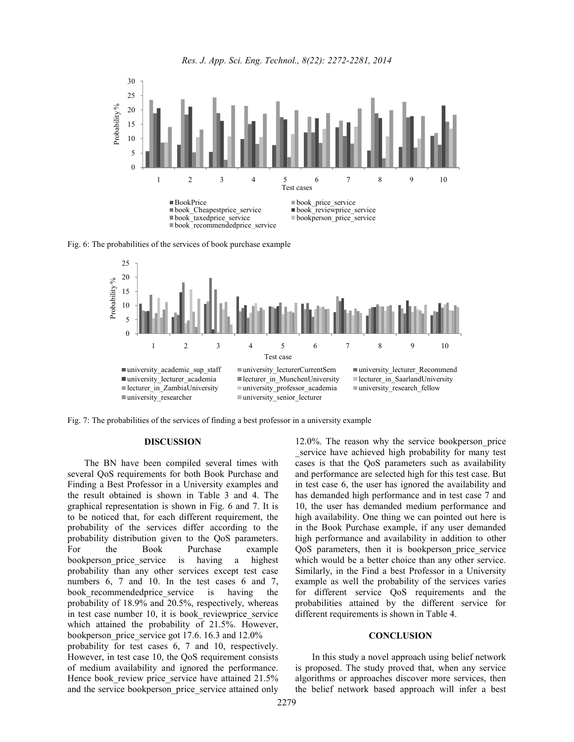

Fig. 6: The probabilities of the services of book purchase example



Fig. 7: The probabilities of the services of finding a best professor in a university example

### **DISCUSSION**

The BN have been compiled several times with several QoS requirements for both Book Purchase and Finding a Best Professor in a University examples and the result obtained is shown in Table 3 and 4. The graphical representation is shown in Fig. 6 and 7. It is to be noticed that, for each different requirement, the probability of the services differ according to the probability distribution given to the QoS parameters. For the Book Purchase example bookperson price service is having a highest probability than any other services except test case numbers 6, 7 and 10. In the test cases 6 and 7, book recommendedprice service is having the probability of 18.9% and 20.5%, respectively, whereas in test case number 10, it is book reviewprice service which attained the probability of 21.5%. However, bookperson price service got 17.6. 16.3 and 12.0% probability for test cases 6, 7 and 10, respectively. However, in test case 10, the QoS requirement consists of medium availability and ignored the performance. Hence book review price service have attained 21.5% and the service bookperson price service attained only 12.0%. The reason why the service bookperson\_price service have achieved high probability for many test cases is that the QoS parameters such as availability and performance are selected high for this test case. But in test case 6, the user has ignored the availability and has demanded high performance and in test case 7 and 10, the user has demanded medium performance and high availability. One thing we can pointed out here is in the Book Purchase example, if any user demanded high performance and availability in addition to other QoS parameters, then it is bookperson\_price\_service which would be a better choice than any other service. Similarly, in the Find a best Professor in a University example as well the probability of the services varies for different service QoS requirements and the probabilities attained by the different service for different requirements is shown in Table 4.

### **CONCLUSION**

In this study a novel approach using belief network is proposed. The study proved that, when any service algorithms or approaches discover more services, then the belief network based approach will infer a best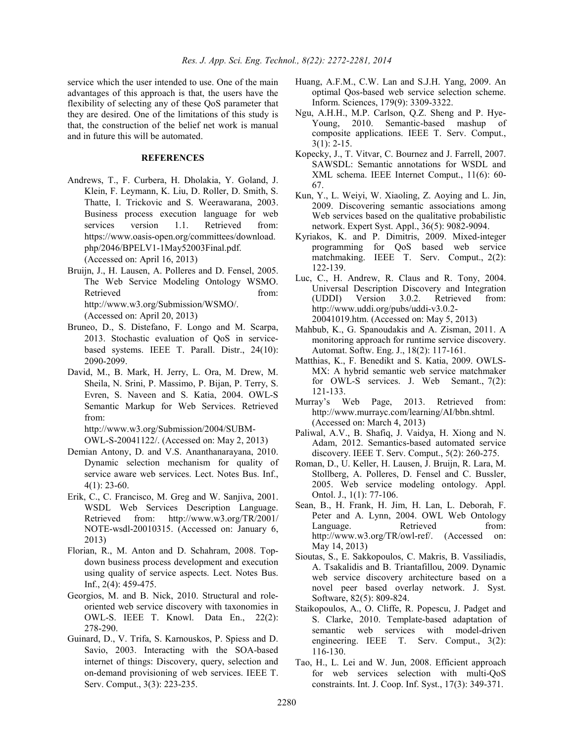service which the user intended to use. One of the main advantages of this approach is that, the users have the flexibility of selecting any of these QoS parameter that they are desired. One of the limitations of this study is that, the construction of the belief net work is manual and in future this will be automated.

#### **REFERENCES**

- Andrews, T., F. Curbera, H. Dholakia, Y. Goland, J. Klein, F. Leymann, K. Liu, D. Roller, D. Smith, S. Thatte, I. Trickovic and S. Weerawarana, 2003. Business process execution language for web services version 1.1. Retrieved from: https://www.oasis-open.org/committees/download. php/2046/BPELV1-1May52003Final.pdf. (Accessed on: April 16, 2013)
- Bruijn, J., H. Lausen, A. Polleres and D. Fensel, 2005. The Web Service Modeling Ontology WSMO. Retrieved from: http://www.w3.org/Submission/WSMO/. (Accessed on: April 20, 2013)
- Bruneo, D., S. Distefano, F. Longo and M. Scarpa, 2013. Stochastic evaluation of QoS in servicebased systems. IEEE T. Parall. Distr., 24(10): 2090-2099.
- David, M., B. Mark, H. Jerry, L. Ora, M. Drew, M. Sheila, N. Srini, P. Massimo, P. Bijan, P. Terry, S. Evren, S. Naveen and S. Katia, 2004. OWL-S Semantic Markup for Web Services. Retrieved from:

http://www.w3.org/Submission/2004/SUBM-OWL-S-20041122/. (Accessed on: May 2, 2013)

- Demian Antony, D. and V.S. Ananthanarayana, 2010. Dynamic selection mechanism for quality of service aware web services. Lect. Notes Bus. Inf., 4(1): 23-60.
- Erik, C., C. Francisco, M. Greg and W. Sanjiva, 2001. WSDL Web Services Description Language. Retrieved from: http://www.w3.org/TR/2001/ NOTE-wsdl-20010315. (Accessed on: January 6, 2013)
- Florian, R., M. Anton and D. Schahram, 2008. Topdown business process development and execution using quality of service aspects. Lect. Notes Bus. Inf., 2(4): 459-475.
- Georgios, M. and B. Nick, 2010. Structural and roleoriented web service discovery with taxonomies in OWL-S. IEEE T. Knowl. Data En., 22(2): 278-290.
- Guinard, D., V. Trifa, S. Karnouskos, P. Spiess and D. Savio, 2003. Interacting with the SOA-based internet of things: Discovery, query, selection and on-demand provisioning of web services. IEEE T. Serv. Comput., 3(3): 223-235.
- Huang, A.F.M., C.W. Lan and S.J.H. Yang, 2009. An optimal Qos-based web service selection scheme. Inform. Sciences, 179(9): 3309-3322.
- Ngu, A.H.H., M.P. Carlson, Q.Z. Sheng and P. Hye-Young, 2010. Semantic-based mashup of composite applications. IEEE T. Serv. Comput., 3(1): 2-15.
- Kopecky, J., T. Vitvar, C. Bournez and J. Farrell, 2007. SAWSDL: Semantic annotations for WSDL and XML schema. IEEE Internet Comput., 11(6): 60- 67.
- Kun, Y., L. Weiyi, W. Xiaoling, Z. Aoying and L. Jin, 2009. Discovering semantic associations among Web services based on the qualitative probabilistic network. Expert Syst. Appl., 36(5): 9082-9094.
- Kyriakos, K. and P. Dimitris, 2009. Mixed-integer programming for QoS based web service matchmaking. IEEE T. Serv. Comput., 2(2): 122-139.
- Luc, C., H. Andrew, R. Claus and R. Tony, 2004. Universal Description Discovery and Integration (UDDI) Version 3.0.2. Retrieved from: http://www.uddi.org/pubs/uddi-v3.0.2- 20041019.htm. (Accessed on: May 5, 2013)
- Mahbub, K., G. Spanoudakis and A. Zisman, 2011. A monitoring approach for runtime service discovery. Automat. Softw. Eng. J., 18(2): 117-161.
- Matthias, K., F. Benedikt and S. Katia, 2009. OWLS-MX: A hybrid semantic web service matchmaker for OWL-S services. J. Web Semant., 7(2): 121-133.
- Murray's Web Page, 2013. Retrieved from: http://www.murrayc.com/learning/AI/bbn.shtml. (Accessed on: March 4, 2013)
- Paliwal, A.V., B. Shafiq, J. Vaidya, H. Xiong and N. Adam, 2012. Semantics-based automated service discovery. IEEE T. Serv. Comput., 5(2): 260-275.
- Roman, D., U. Keller, H. Lausen, J. Bruijn, R. Lara, M. Stollberg, A. Polleres, D. Fensel and C. Bussler, 2005. Web service modeling ontology. Appl. Ontol. J., 1(1): 77-106.
- Sean, B., H. Frank, H. Jim, H. Lan, L. Deborah, F. Peter and A. Lynn, 2004. OWL Web Ontology Language. Retrieved from: http://www.w3.org/TR/owl-ref/. (Accessed on: May 14, 2013)
- Sioutas, S., E. Sakkopoulos, C. Makris, B. Vassiliadis, A. Tsakalidis and B. Triantafillou, 2009. Dynamic web service discovery architecture based on a novel peer based overlay network. J. Syst. Software, 82(5): 809-824.
- Staikopoulos, A., O. Cliffe, R. Popescu, J. Padget and S. Clarke, 2010. Template-based adaptation of semantic web services with model-driven engineering. IEEE T. Serv. Comput., 3(2): 116-130.
- Tao, H., L. Lei and W. Jun, 2008. Efficient approach for web services selection with multi-QoS constraints. Int. J. Coop. Inf. Syst., 17(3): 349-371.